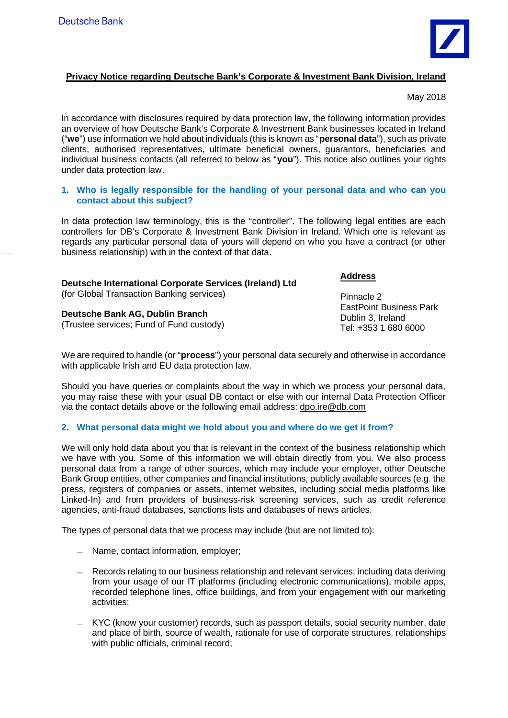

# **Privacy Notice regarding Deutsche Bank's Corporate & Investment Bank Division, Ireland**

May 2018

In accordance with disclosures required by data protection law, the following information provides an overview of how Deutsche Bank's Corporate & Investment Bank businesses located in Ireland ("**we**") use information we hold about individuals (this is known as "**personal data**"), such as private clients, authorised representatives, ultimate beneficial owners, guarantors, beneficiaries and individual business contacts (all referred to below as "**you**"). This notice also outlines your rights under data protection law.

## **1. Who is legally responsible for the handling of your personal data and who can you contact about this subject?**

In data protection law terminology, this is the "controller". The following legal entities are each controllers for DB's Corporate & Investment Bank Division in Ireland. Which one is relevant as regards any particular personal data of yours will depend on who you have a contract (or other business relationship) with in the context of that data.

| Deutsche International Corporate Services (Ireland) Ltd |  |
|---------------------------------------------------------|--|
| (for Global Transaction Banking services)               |  |
|                                                         |  |

**Deutsche Bank AG, Dublin Branch** (Trustee services; Fund of Fund custody)

We are required to handle (or "**process**") your personal data securely and otherwise in accordance with applicable Irish and EU data protection law.

Should you have queries or complaints about the way in which we process your personal data, you may raise these with your usual DB contact or else with our internal Data Protection Officer via the contact details above or the following email address: dpo.ire@db.com

# **2. What personal data might we hold about you and where do we get it from?**

We will only hold data about you that is relevant in the context of the business relationship which we have with you. Some of this information we will obtain directly from you. We also process personal data from a range of other sources, which may include your employer, other Deutsche Bank Group entities, other companies and financial institutions, publicly available sources (e.g. the press, registers of companies or assets, internet websites, including social media platforms like Linked-In) and from providers of business-risk screening services, such as credit reference agencies, anti-fraud databases, sanctions lists and databases of news articles.

The types of personal data that we process may include (but are not limited to):

- Name, contact information, employer;
- Records relating to our business relationship and relevant services, including data deriving from your usage of our IT platforms (including electronic communications), mobile apps, recorded telephone lines, office buildings, and from your engagement with our marketing activities;
- KYC (know your customer) records, such as passport details, social security number, date and place of birth, source of wealth, rationale for use of corporate structures, relationships with public officials, criminal record;

**Address**

Pinnacle 2 EastPoint Business Park Dublin 3, Ireland Tel: +353 1 680 6000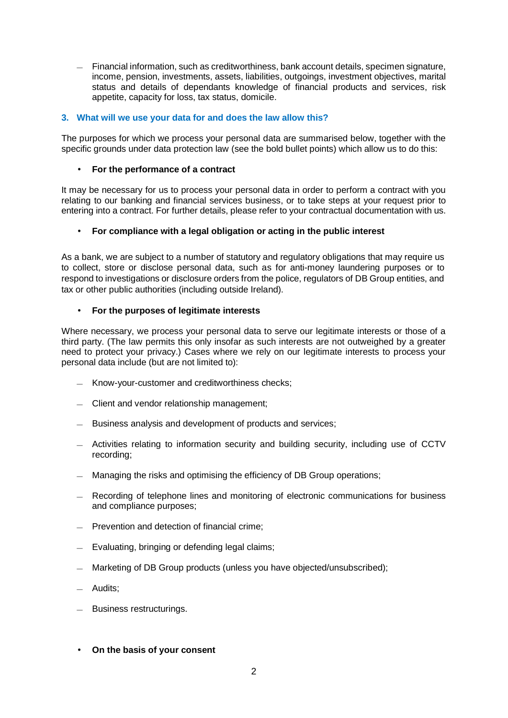— Financial information, such as creditworthiness, bank account details, specimen signature, income, pension, investments, assets, liabilities, outgoings, investment objectives, marital status and details of dependants knowledge of financial products and services, risk appetite, capacity for loss, tax status, domicile.

# **3. What will we use your data for and does the law allow this?**

The purposes for which we process your personal data are summarised below, together with the specific grounds under data protection law (see the bold bullet points) which allow us to do this:

#### **For the performance of a contract**

It may be necessary for us to process your personal data in order to perform a contract with you relating to our banking and financial services business, or to take steps at your request prior to entering into a contract. For further details, please refer to your contractual documentation with us.

### **For compliance with a legal obligation or acting in the public interest**

As a bank, we are subject to a number of statutory and regulatory obligations that may require us to collect, store or disclose personal data, such as for anti-money laundering purposes or to respond to investigations or disclosure orders from the police, regulators of DB Group entities, and tax or other public authorities (including outside Ireland).

#### **For the purposes of legitimate interests** ä,

Where necessary, we process your personal data to serve our legitimate interests or those of a third party. (The law permits this only insofar as such interests are not outweighed by a greater need to protect your privacy.) Cases where we rely on our legitimate interests to process your personal data include (but are not limited to):

- Know-your-customer and creditworthiness checks;
- Client and vendor relationship management;
- Business analysis and development of products and services;
- Activities relating to information security and building security, including use of CCTV recording;
- Managing the risks and optimising the efficiency of DB Group operations;
- Recording of telephone lines and monitoring of electronic communications for business and compliance purposes;
- Prevention and detection of financial crime;
- Evaluating, bringing or defending legal claims;
- Marketing of DB Group products (unless you have objected/unsubscribed);
- Audits;
- Business restructurings.
- **On the basis of your consent**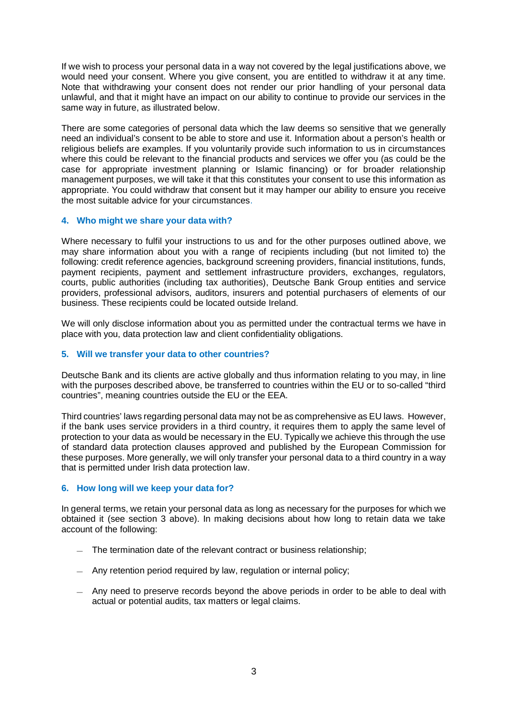If we wish to process your personal data in a way not covered by the legal justifications above, we would need your consent. Where you give consent, you are entitled to withdraw it at any time. Note that withdrawing your consent does not render our prior handling of your personal data unlawful, and that it might have an impact on our ability to continue to provide our services in the same way in future, as illustrated below.

There are some categories of personal data which the law deems so sensitive that we generally need an individual's consent to be able to store and use it. Information about a person's health or religious beliefs are examples. If you voluntarily provide such information to us in circumstances where this could be relevant to the financial products and services we offer you (as could be the case for appropriate investment planning or Islamic financing) or for broader relationship management purposes, we will take it that this constitutes your consent to use this information as appropriate. You could withdraw that consent but it may hamper our ability to ensure you receive the most suitable advice for your circumstances.

# **4. Who might we share your data with?**

Where necessary to fulfil your instructions to us and for the other purposes outlined above, we may share information about you with a range of recipients including (but not limited to) the following: credit reference agencies, background screening providers, financial institutions, funds, payment recipients, payment and settlement infrastructure providers, exchanges, regulators, courts, public authorities (including tax authorities), Deutsche Bank Group entities and service providers, professional advisors, auditors, insurers and potential purchasers of elements of our business. These recipients could be located outside Ireland.

We will only disclose information about you as permitted under the contractual terms we have in place with you, data protection law and client confidentiality obligations.

# **5. Will we transfer your data to other countries?**

Deutsche Bank and its clients are active globally and thus information relating to you may, in line with the purposes described above, be transferred to countries within the EU or to so-called "third countries", meaning countries outside the EU or the EEA.

Third countries' laws regarding personal data may not be as comprehensive as EU laws. However, if the bank uses service providers in a third country, it requires them to apply the same level of protection to your data as would be necessary in the EU. Typically we achieve this through the use of standard data protection clauses approved and published by the European Commission for these purposes. More generally, we will only transfer your personal data to a third country in a way that is permitted under Irish data protection law.

### **6. How long will we keep your data for?**

In general terms, we retain your personal data as long as necessary for the purposes for which we obtained it (see section 3 above). In making decisions about how long to retain data we take account of the following:

- The termination date of the relevant contract or business relationship;
- Any retention period required by law, regulation or internal policy;
- Any need to preserve records beyond the above periods in order to be able to deal with actual or potential audits, tax matters or legal claims.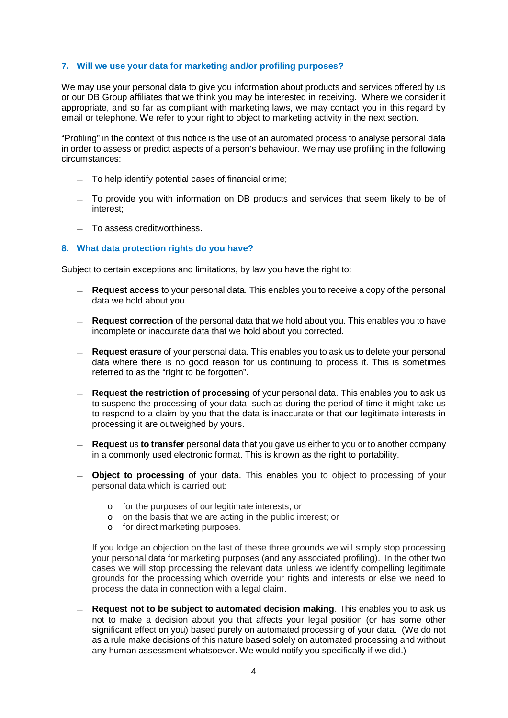## **7. Will we use your data for marketing and/or profiling purposes?**

We may use your personal data to give you information about products and services offered by us or our DB Group affiliates that we think you may be interested in receiving. Where we consider it appropriate, and so far as compliant with marketing laws, we may contact you in this regard by email or telephone. We refer to your right to object to marketing activity in the next section.

"Profiling" in the context of this notice is the use of an automated process to analyse personal data in order to assess or predict aspects of a person's behaviour. We may use profiling in the following circumstances:

- To help identify potential cases of financial crime;
- To provide you with information on DB products and services that seem likely to be of interest;
- To assess creditworthiness.

#### **8. What data protection rights do you have?**

Subject to certain exceptions and limitations, by law you have the right to:

- **Request access** to your personal data. This enables you to receive a copy of the personal data we hold about you.
- **Request correction** of the personal data that we hold about you. This enables you to have incomplete or inaccurate data that we hold about you corrected.
- **Request erasure** of your personal data. This enables you to ask us to delete your personal data where there is no good reason for us continuing to process it. This is sometimes referred to as the "right to be forgotten".
- **Request the restriction of processing** of your personal data. This enables you to ask us to suspend the processing of your data, such as during the period of time it might take us to respond to a claim by you that the data is inaccurate or that our legitimate interests in processing it are outweighed by yours.
- **Request** us **to transfer** personal data that you gave us either to you or to another company in a commonly used electronic format. This is known as the right to portability.
- **Object to processing** of your data. This enables you to object to processing of your personal data which is carried out:
	- o for the purposes of our legitimate interests; or
	- o on the basis that we are acting in the public interest; or
	- o for direct marketing purposes.

If you lodge an objection on the last of these three grounds we will simply stop processing your personal data for marketing purposes (and any associated profiling). In the other two cases we will stop processing the relevant data unless we identify compelling legitimate grounds for the processing which override your rights and interests or else we need to process the data in connection with a legal claim.

— **Request not to be subject to automated decision making**. This enables you to ask us not to make a decision about you that affects your legal position (or has some other significant effect on you) based purely on automated processing of your data. (We do not as a rule make decisions of this nature based solely on automated processing and without any human assessment whatsoever. We would notify you specifically if we did.)